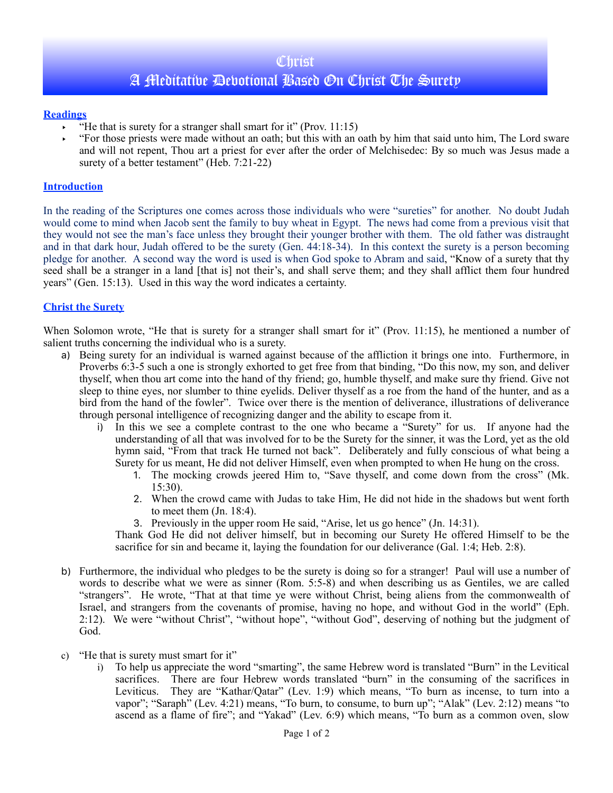### **Christ**

# A Meditative Devotional Based On Christ The Surety

#### **Readings**

- $\cdot$  "He that is surety for a stranger shall smart for it" (Prov. 11:15)
- ‣ "For those priests were made without an oath; but this with an oath by him that said unto him, The Lord sware and will not repent, Thou art a priest for ever after the order of Melchisedec: By so much was Jesus made a surety of a better testament" (Heb. 7:21-22)

#### **Introduction**

In the reading of the Scriptures one comes across those individuals who were "sureties" for another. No doubt Judah would come to mind when Jacob sent the family to buy wheat in Egypt. The news had come from a previous visit that they would not see the man's face unless they brought their younger brother with them. The old father was distraught and in that dark hour, Judah offered to be the surety (Gen. 44:18-34). In this context the surety is a person becoming pledge for another. A second way the word is used is when God spoke to Abram and said, "Know of a surety that thy seed shall be a stranger in a land [that is] not their's, and shall serve them; and they shall afflict them four hundred years" (Gen. 15:13). Used in this way the word indicates a certainty.

#### **Christ the Surety**

When Solomon wrote, "He that is surety for a stranger shall smart for it" (Prov. 11:15), he mentioned a number of salient truths concerning the individual who is a surety.

- a) Being surety for an individual is warned against because of the affliction it brings one into. Furthermore, in Proverbs 6:3-5 such a one is strongly exhorted to get free from that binding, "Do this now, my son, and deliver thyself, when thou art come into the hand of thy friend; go, humble thyself, and make sure thy friend. Give not sleep to thine eyes, nor slumber to thine eyelids. Deliver thyself as a roe from the hand of the hunter, and as a bird from the hand of the fowler". Twice over there is the mention of deliverance, illustrations of deliverance through personal intelligence of recognizing danger and the ability to escape from it.
	- i) In this we see a complete contrast to the one who became a "Surety" for us. If anyone had the understanding of all that was involved for to be the Surety for the sinner, it was the Lord, yet as the old hymn said, "From that track He turned not back". Deliberately and fully conscious of what being a Surety for us meant, He did not deliver Himself, even when prompted to when He hung on the cross.
		- 1. The mocking crowds jeered Him to, "Save thyself, and come down from the cross" (Mk. 15:30).
		- 2. When the crowd came with Judas to take Him, He did not hide in the shadows but went forth to meet them (Jn. 18:4).
		- 3. Previously in the upper room He said, "Arise, let us go hence" (Jn. 14:31).

Thank God He did not deliver himself, but in becoming our Surety He offered Himself to be the sacrifice for sin and became it, laying the foundation for our deliverance (Gal. 1:4; Heb. 2:8).

- b) Furthermore, the individual who pledges to be the surety is doing so for a stranger! Paul will use a number of words to describe what we were as sinner (Rom. 5:5-8) and when describing us as Gentiles, we are called "strangers". He wrote, "That at that time ye were without Christ, being aliens from the commonwealth of Israel, and strangers from the covenants of promise, having no hope, and without God in the world" (Eph. 2:12). We were "without Christ", "without hope", "without God", deserving of nothing but the judgment of God.
- c) "He that is surety must smart for it"
	- i) To help us appreciate the word "smarting", the same Hebrew word is translated "Burn" in the Levitical sacrifices. There are four Hebrew words translated "burn" in the consuming of the sacrifices in Leviticus. They are "Kathar/Qatar" (Lev. 1:9) which means, "To burn as incense, to turn into a vapor"; "Saraph" (Lev. 4:21) means, "To burn, to consume, to burn up"; "Alak" (Lev. 2:12) means "to ascend as a flame of fire"; and "Yakad" (Lev. 6:9) which means, "To burn as a common oven, slow